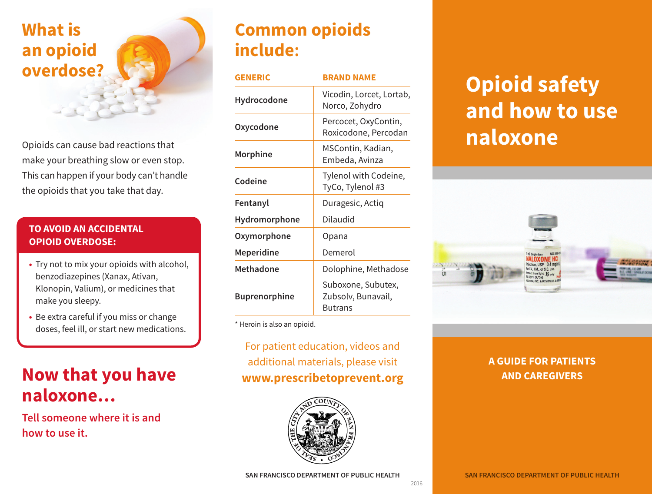# **What is an opioid overdose?**

Opioids can cause bad reactions that make your breathing slow or even stop. This can happen if your body can't handle the opioids that you take that day.

#### **TO AVOID AN ACCIDENTAL OPIOID OVERDOSE:**

- **•** Try not to mix your opioids with alcohol, benzodiazepines (Xanax, Ativan, Klonopin, Valium), or medicines that make you sleepy.
- **•** Be extra careful if you miss or change doses, feel ill, or start new medications.

# **Now that you have naloxone…**

**Tell someone where it is and how to use it.**

# **Common opioids include:**

| <b>GENERIC</b>       | <b>BRAND NAME</b>                                          |
|----------------------|------------------------------------------------------------|
| Hydrocodone          | Vicodin, Lorcet, Lortab,<br>Norco, Zohydro                 |
| Oxycodone            | Percocet, OxyContin,<br>Roxicodone, Percodan               |
| Morphine             | MSContin, Kadian,<br>Embeda, Avinza                        |
| Codeine              | Tylenol with Codeine,<br>TyCo, Tylenol #3                  |
| Fentanyl             | Duragesic, Actiq                                           |
| Hydromorphone        | Dilaudid                                                   |
| Oxymorphone          | Opana                                                      |
| Meperidine           | Demerol                                                    |
| <b>Methadone</b>     | Dolophine, Methadose                                       |
| <b>Buprenorphine</b> | Suboxone, Subutex,<br>Zubsolv, Bunavail,<br><b>Butrans</b> |

\* Heroin is also an opioid.

#### For patient education, videos and additional materials, please visit **www.prescribetoprevent.org**



# **Opioid safety and how to use naloxone**



#### **A GUIDE FOR PATIENTS AND CAREGIVERS**

2016